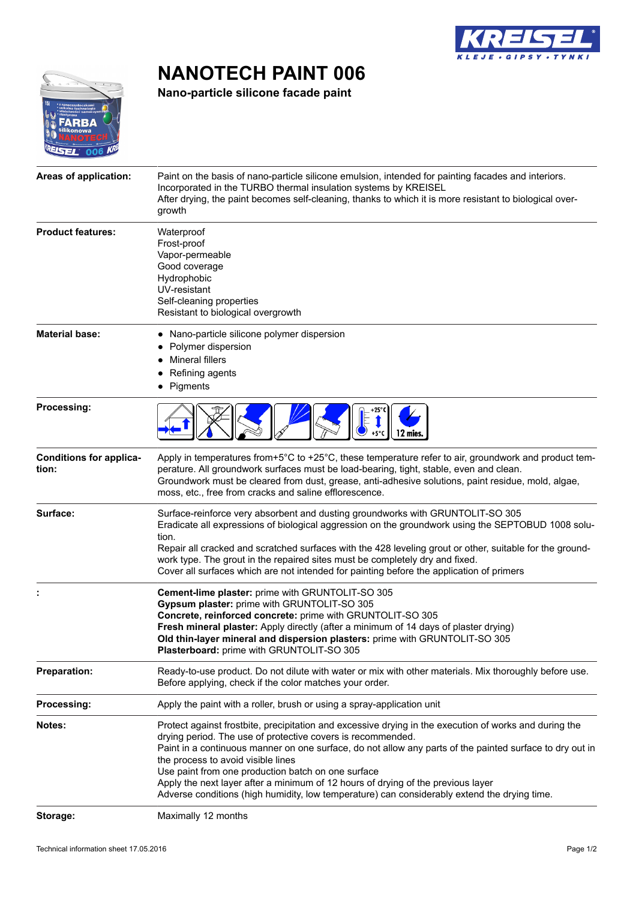

# **NANOTECH PAINT 006**

**Nano-particle silicone facade paint**



| Areas of application:                   | Paint on the basis of nano-particle silicone emulsion, intended for painting facades and interiors.<br>Incorporated in the TURBO thermal insulation systems by KREISEL<br>After drying, the paint becomes self-cleaning, thanks to which it is more resistant to biological over-<br>growth                                                                                                                                                                                                                                                                       |
|-----------------------------------------|-------------------------------------------------------------------------------------------------------------------------------------------------------------------------------------------------------------------------------------------------------------------------------------------------------------------------------------------------------------------------------------------------------------------------------------------------------------------------------------------------------------------------------------------------------------------|
| <b>Product features:</b>                | Waterproof<br>Frost-proof<br>Vapor-permeable<br>Good coverage<br>Hydrophobic<br>UV-resistant<br>Self-cleaning properties<br>Resistant to biological overgrowth                                                                                                                                                                                                                                                                                                                                                                                                    |
| <b>Material base:</b>                   | Nano-particle silicone polymer dispersion<br>Polymer dispersion<br>Mineral fillers<br>Refining agents<br>Pigments                                                                                                                                                                                                                                                                                                                                                                                                                                                 |
| Processing:                             | 12 mies.<br>$+5^{\circ}$ C                                                                                                                                                                                                                                                                                                                                                                                                                                                                                                                                        |
| <b>Conditions for applica-</b><br>tion: | Apply in temperatures from+5°C to +25°C, these temperature refer to air, groundwork and product tem-<br>perature. All groundwork surfaces must be load-bearing, tight, stable, even and clean.<br>Groundwork must be cleared from dust, grease, anti-adhesive solutions, paint residue, mold, algae,<br>moss, etc., free from cracks and saline efflorescence.                                                                                                                                                                                                    |
| Surface:                                | Surface-reinforce very absorbent and dusting groundworks with GRUNTOLIT-SO 305<br>Eradicate all expressions of biological aggression on the groundwork using the SEPTOBUD 1008 solu-<br>tion.<br>Repair all cracked and scratched surfaces with the 428 leveling grout or other, suitable for the ground-<br>work type. The grout in the repaired sites must be completely dry and fixed.<br>Cover all surfaces which are not intended for painting before the application of primers                                                                             |
|                                         | Cement-lime plaster: prime with GRUNTOLIT-SO 305<br>Gypsum plaster: prime with GRUNTOLIT-SO 305<br>Concrete, reinforced concrete: prime with GRUNTOLIT-SO 305<br>Fresh mineral plaster: Apply directly (after a minimum of 14 days of plaster drying)<br>Old thin-layer mineral and dispersion plasters: prime with GRUNTOLIT-SO 305<br>Plasterboard: prime with GRUNTOLIT-SO 305                                                                                                                                                                                 |
| <b>Preparation:</b>                     | Ready-to-use product. Do not dilute with water or mix with other materials. Mix thoroughly before use.<br>Before applying, check if the color matches your order.                                                                                                                                                                                                                                                                                                                                                                                                 |
| Processing:                             | Apply the paint with a roller, brush or using a spray-application unit                                                                                                                                                                                                                                                                                                                                                                                                                                                                                            |
| Notes:                                  | Protect against frostbite, precipitation and excessive drying in the execution of works and during the<br>drying period. The use of protective covers is recommended.<br>Paint in a continuous manner on one surface, do not allow any parts of the painted surface to dry out in<br>the process to avoid visible lines<br>Use paint from one production batch on one surface<br>Apply the next layer after a minimum of 12 hours of drying of the previous layer<br>Adverse conditions (high humidity, low temperature) can considerably extend the drying time. |
| Storage:                                | Maximally 12 months                                                                                                                                                                                                                                                                                                                                                                                                                                                                                                                                               |